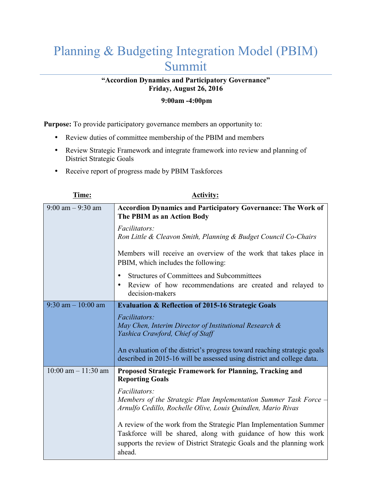## Planning & Budgeting Integration Model (PBIM) Summit

## **"Accordion Dynamics and Participatory Governance" Friday, August 26, 2016**

## **9:00am -4:00pm**

**Purpose:** To provide participatory governance members an opportunity to:

- Review duties of committee membership of the PBIM and members
- Review Strategic Framework and integrate framework into review and planning of District Strategic Goals
- Receive report of progress made by PBIM Taskforces

| Time:                   | <b>Activity:</b>                                                                                                                                                                                                        |
|-------------------------|-------------------------------------------------------------------------------------------------------------------------------------------------------------------------------------------------------------------------|
| $9:00$ am $-9:30$ am    | <b>Accordion Dynamics and Participatory Governance: The Work of</b><br>The PBIM as an Action Body                                                                                                                       |
|                         | Facilitators:<br>Ron Little & Cleavon Smith, Planning & Budget Council Co-Chairs                                                                                                                                        |
|                         | Members will receive an overview of the work that takes place in<br>PBIM, which includes the following:                                                                                                                 |
|                         | Structures of Committees and Subcommittees<br>$\bullet$<br>Review of how recommendations are created and relayed to<br>$\bullet$<br>decision-makers                                                                     |
| $9:30$ am $-10:00$ am   | <b>Evaluation &amp; Reflection of 2015-16 Strategic Goals</b>                                                                                                                                                           |
|                         | Facilitators:<br>May Chen, Interim Director of Institutional Research &<br>Yashica Crawford, Chief of Staff                                                                                                             |
|                         | An evaluation of the district's progress toward reaching strategic goals<br>described in 2015-16 will be assessed using district and college data.                                                                      |
| $10:00$ am $- 11:30$ am | Proposed Strategic Framework for Planning, Tracking and<br><b>Reporting Goals</b>                                                                                                                                       |
|                         | Facilitators:<br>Members of the Strategic Plan Implementation Summer Task Force –<br>Arnulfo Cedillo, Rochelle Olive, Louis Quindlen, Mario Rivas                                                                       |
|                         | A review of the work from the Strategic Plan Implementation Summer<br>Taskforce will be shared, along with guidance of how this work<br>supports the review of District Strategic Goals and the planning work<br>ahead. |